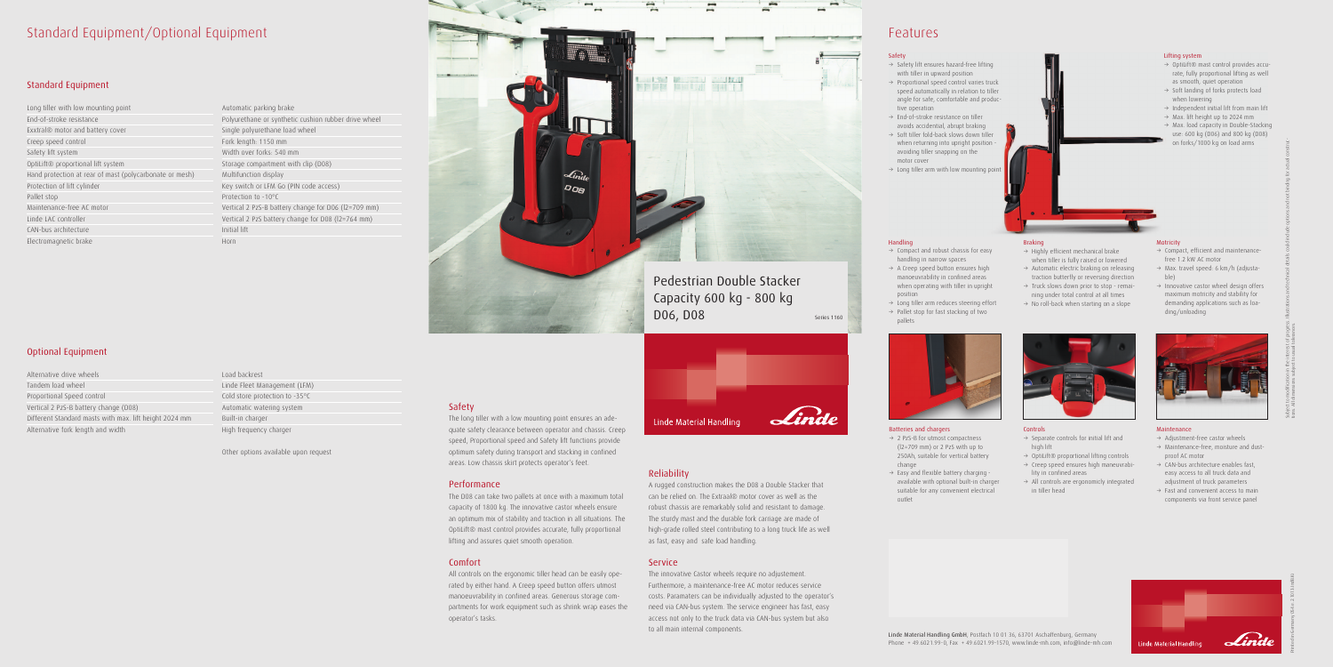### Standard Equipment/Optional Equipment

### Standard Equipment

Long tiller with low mounting point End-of-stroke resistance Exxtral® motor and battery cover Creep speed control Safety lift system OptiLift® proportional lift system Hand protection at rear of mast (polycarbonate or mesh) Protection of lift cylinder Pallet stop Maintenance-free AC motor Linde LAC controller CAN-bus architecture Electromagnetic brake

### Optional Equipment

Alternative drive wheels Tandem load wheel Proportional Speed control Vertical 2 PzS-B battery change (D08) Different Standard masts with max. lift height 2024 mm Alternative fork length and width

Automatic parking brake Polyurethane or synthetic cushion rubber drive wheel Single polyurethane load wheel Fork length: 1150 mm Width over forks: 540 mm Storage compartment with clip (D08) Multifunction display Key switch or LFM Go (PIN code access) Protection to -10°C Vertical 2 PzS-B battery change for D06 (l2=709 mm) Vertical 2 PzS battery change for D08 (l2=764 mm) Initial lift Horn

Load backrest Linde Fleet Management (LFM) Cold store protection to -35°C Automatic watering system Built-in charger High frequency charger

Other options available upon request

### Safety

The long tiller with a low mounting point ensures an adequate safety clearance between operator and chassis. Creep speed, Proportional speed and Safety lift functions provide optimum safety during transport and stacking in confined areas. Low chassis skirt protects operator's feet.

### Performance

- $\rightarrow$  2 PzS-B for utmost compactness (l2=709 mm) or 2 PzS with up to 250Ah, suitable for vertical battery change
- $\rightarrow$  Easy and flexible battery charging available with optional built-in charger suitable for any convenient electrical outlet

The D08 can take two pallets at once with a maximum total capacity of 1800 kg. The innovative castor wheels ensure an optimum mix of stability and traction in all situations. The OptiLift® mast control provides accurate, fully proportional lifting and assures quiet smooth operation.

- $\rightarrow$  Compact and robust chassis for easy handling in narrow spaces
- $\rightarrow$  A Creep speed button ensures high manoeuvrability in confined areas when operating with tiller in upright position
- $\rightarrow$  Long tiller arm reduces steering effort
- $\rightarrow$  Pallet stop for fast stacking of two pallets



### Comfort

- $\rightarrow$  Separate controls for initial lift and high lift
- $\rightarrow$  OptiLift® proportional lifting controls
- $\rightarrow$  Creep speed ensures high maneuvrability in confined areas
- $\rightarrow$  All controls are ergonomicly integrated in tiller head

### **Motricity**

All controls on the ergonomic tiller head can be easily operated by either hand. A Creep speed button offers utmost manoeuvrability in confined areas. Generous storage compartments for work equipment such as shrink wrap eases the operator's tasks.

- $\rightarrow$  Compact, efficient and maintenancefree 1.2 kW AC motor
- $\rightarrow$  Max. travel speed: 6 km/h (adjustable)
- $\rightarrow$  Innovative castor wheel design offers maximum motricity and stability for demanding applications such as loading/unloading



Reliability

- $\rightarrow$  Adjustment-free castor wheels
- $\rightarrow$  Maintenance-free, moisture and dustproof AC motor
- $\rightarrow$  CAN-bus architecture enables fast, easy access to all truck data and adjustment of truck parameters
- $\rightarrow$  Fast and convenient access to main components via front service panel



A rugged construction makes the D08 a Double Stacker that can be relied on. The Extraal® motor cover as well as the robust chassis are remarkably solid and resistant to damage. The sturdy mast and the durable fork carriage are made of high-grade rolled steel contributing to a long truck life as well as fast, easy and safe load handling.

### **Service**

- → OptiLift® mast control provides accurate, fully proportional lifting as well as smooth, quiet operation
- $\rightarrow$  Soft landing of forks protects load when lowering
- $\rightarrow$  Independent initial lift from main lift
- $\rightarrow$  Max. lift height up to 2024 mm
- $\rightarrow$  Max. load capacity in Double-Stacking use: 600 kg (D06) and 800 kg (D08) on forks/1000 kg on load arms

The innovative Castor wheels require no adjustement. Furthermore, a maintenance-free AC motor reduces service costs. Paramaters can be individually adjusted to the operator's need via CAN-bus system. The service engineer has fast, easy access not only to the truck data via CAN-bus system but also to all main internal components.



## Features

Linde Material Handling GmbH, Postfach 10 01 36, 63701 Aschaffenburg, Germany Phone + 49.6021.99-0, Fax + 49.6021.99-1570, www.linde-mh.com, info@linde-mh.com

### Batteries and chargers

### Handling

### Controls

### Maintenance

Printed in Germany 054.e.2.1013.IndB.Ki

Subject to modification in the interest of progress. Illustrations and technical details could include options and not binding for actual construc-

tions. All dimensions subject to usual tolerances.



### Braking

- $\rightarrow$  Highly efficient mechanical brake when tiller is fully raised or lowered
- $\rightarrow$  Automatic electric braking on releasing traction butterfly or reversing direction
- $\rightarrow$  Truck slows down prior to stop remaining under total control at all times
- $\rightarrow$  No roll-back when starting on a slope



### Safety

- $\rightarrow$  Safety lift ensures hazard-free lifting with tiller in upward position
- $\rightarrow$  Proportional speed control varies truck speed automatically in relation to tiller angle for safe, comfortable and productive operation
- $\rightarrow$  End-of-stroke resistance on tiller avoids accidential, abrupt braking
- $\rightarrow$  Soft tiller fold-back slows down tiller when returning into upright position avoiding tiller snapping on the motor cover
- $\rightarrow$  Long tiller arm with low mounting point

## Pedestrian Double Stacker Capacity 600 kg - 800 kg